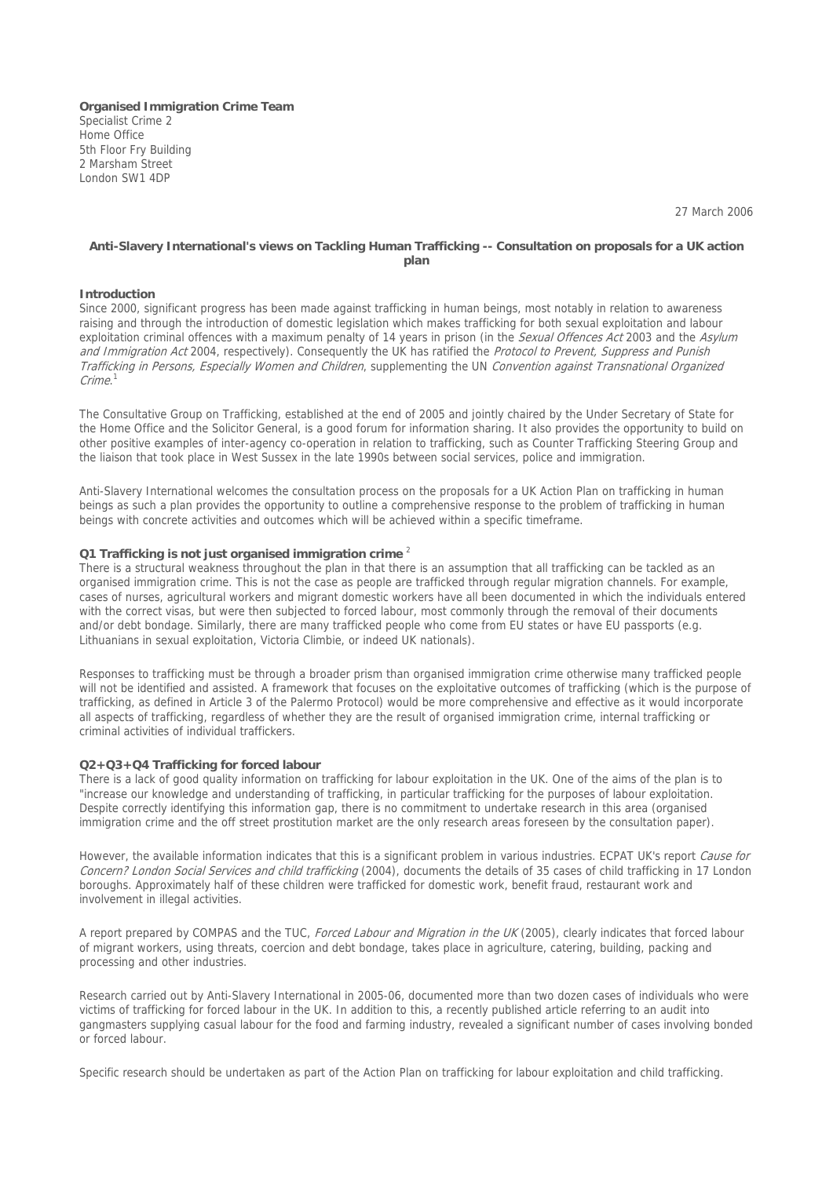**Organised Immigration Crime Team** Specialist Crime 2 Home Office 5th Floor Fry Building 2 Marsham Street London SW1 4DP

27 March 2006

### **Anti-Slavery International's views on Tackling Human Trafficking -- Consultation on proposals for a UK action plan**

### **Introduction**

Since 2000, significant progress has been made against trafficking in human beings, most notably in relation to awareness raising and through the introduction of domestic legislation which makes trafficking for both sexual exploitation and labour exploitation criminal offences with a maximum penalty of 14 years in prison (in the Sexual Offences Act 2003 and the Asylum and Immigration Act 2004, respectively). Consequently the UK has ratified the Protocol to Prevent, Suppress and Punish Trafficking in Persons, Especially Women and Children, supplementing the UN Convention against Transnational Organized Crime. 1

The Consultative Group on Trafficking, established at the end of 2005 and jointly chaired by the Under Secretary of State for the Home Office and the Solicitor General, is a good forum for information sharing. It also provides the opportunity to build on other positive examples of inter-agency co-operation in relation to trafficking, such as Counter Trafficking Steering Group and the liaison that took place in West Sussex in the late 1990s between social services, police and immigration.

Anti-Slavery International welcomes the consultation process on the proposals for a UK Action Plan on trafficking in human beings as such a plan provides the opportunity to outline a comprehensive response to the problem of trafficking in human beings with concrete activities and outcomes which will be achieved within a specific timeframe.

# **Q1 Trafficking is not just organised immigration crime** <sup>2</sup>

There is a structural weakness throughout the plan in that there is an assumption that all trafficking can be tackled as an organised immigration crime. This is not the case as people are trafficked through regular migration channels. For example, cases of nurses, agricultural workers and migrant domestic workers have all been documented in which the individuals entered with the correct visas, but were then subjected to forced labour, most commonly through the removal of their documents and/or debt bondage. Similarly, there are many trafficked people who come from EU states or have EU passports (e.g. Lithuanians in sexual exploitation, Victoria Climbie, or indeed UK nationals).

Responses to trafficking must be through a broader prism than organised immigration crime otherwise many trafficked people will not be identified and assisted. A framework that focuses on the exploitative outcomes of trafficking (which is the purpose of trafficking, as defined in Article 3 of the Palermo Protocol) would be more comprehensive and effective as it would incorporate all aspects of trafficking, regardless of whether they are the result of organised immigration crime, internal trafficking or criminal activities of individual traffickers.

### **Q2+Q3+Q4 Trafficking for forced labour**

There is a lack of good quality information on trafficking for labour exploitation in the UK. One of the aims of the plan is to "increase our knowledge and understanding of trafficking, in particular trafficking for the purposes of labour exploitation. Despite correctly identifying this information gap, there is no commitment to undertake research in this area (organised immigration crime and the off street prostitution market are the only research areas foreseen by the consultation paper).

However, the available information indicates that this is a significant problem in various industries. ECPAT UK's report Cause for Concern? London Social Services and child trafficking (2004), documents the details of 35 cases of child trafficking in 17 London boroughs. Approximately half of these children were trafficked for domestic work, benefit fraud, restaurant work and involvement in illegal activities.

A report prepared by COMPAS and the TUC, Forced Labour and Migration in the UK (2005), clearly indicates that forced labour of migrant workers, using threats, coercion and debt bondage, takes place in agriculture, catering, building, packing and processing and other industries.

Research carried out by Anti-Slavery International in 2005-06, documented more than two dozen cases of individuals who were victims of trafficking for forced labour in the UK. In addition to this, a recently published article referring to an audit into gangmasters supplying casual labour for the food and farming industry, revealed a significant number of cases involving bonded or forced labour.

Specific research should be undertaken as part of the Action Plan on trafficking for labour exploitation and child trafficking.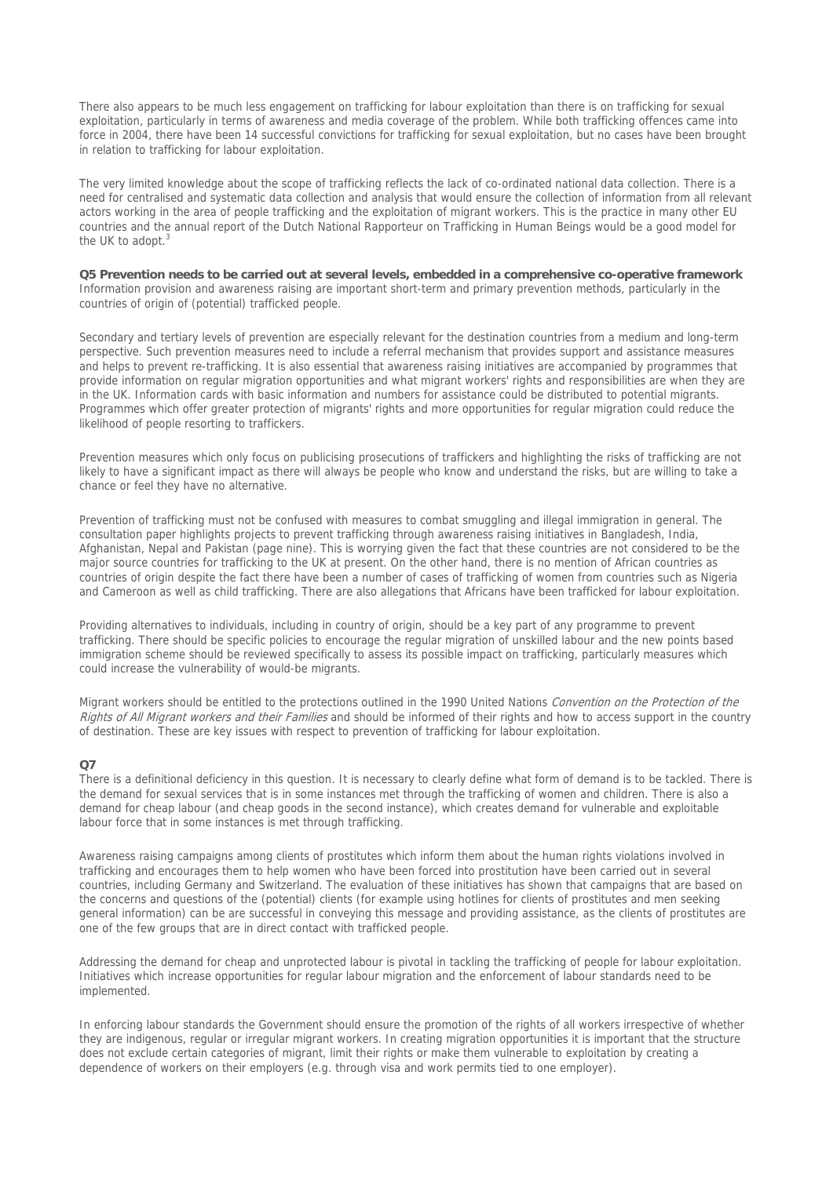There also appears to be much less engagement on trafficking for labour exploitation than there is on trafficking for sexual exploitation, particularly in terms of awareness and media coverage of the problem. While both trafficking offences came into force in 2004, there have been 14 successful convictions for trafficking for sexual exploitation, but no cases have been brought in relation to trafficking for labour exploitation.

The very limited knowledge about the scope of trafficking reflects the lack of co-ordinated national data collection. There is a need for centralised and systematic data collection and analysis that would ensure the collection of information from all relevant actors working in the area of people trafficking and the exploitation of migrant workers. This is the practice in many other EU countries and the annual report of the Dutch National Rapporteur on Trafficking in Human Beings would be a good model for the UK to adopt.<sup>3</sup>

**Q5 Prevention needs to be carried out at several levels, embedded in a comprehensive co-operative framework**  Information provision and awareness raising are important short-term and primary prevention methods, particularly in the countries of origin of (potential) trafficked people.

Secondary and tertiary levels of prevention are especially relevant for the destination countries from a medium and long-term perspective. Such prevention measures need to include a referral mechanism that provides support and assistance measures and helps to prevent re-trafficking. It is also essential that awareness raising initiatives are accompanied by programmes that provide information on regular migration opportunities and what migrant workers' rights and responsibilities are when they are in the UK. Information cards with basic information and numbers for assistance could be distributed to potential migrants. Programmes which offer greater protection of migrants' rights and more opportunities for regular migration could reduce the likelihood of people resorting to traffickers.

Prevention measures which only focus on publicising prosecutions of traffickers and highlighting the risks of trafficking are not likely to have a significant impact as there will always be people who know and understand the risks, but are willing to take a chance or feel they have no alternative.

Prevention of trafficking must not be confused with measures to combat smuggling and illegal immigration in general. The consultation paper highlights projects to prevent trafficking through awareness raising initiatives in Bangladesh, India, Afghanistan, Nepal and Pakistan (page nine). This is worrying given the fact that these countries are not considered to be the major source countries for trafficking to the UK at present. On the other hand, there is no mention of African countries as countries of origin despite the fact there have been a number of cases of trafficking of women from countries such as Nigeria and Cameroon as well as child trafficking. There are also allegations that Africans have been trafficked for labour exploitation.

Providing alternatives to individuals, including in country of origin, should be a key part of any programme to prevent trafficking. There should be specific policies to encourage the regular migration of unskilled labour and the new points based immigration scheme should be reviewed specifically to assess its possible impact on trafficking, particularly measures which could increase the vulnerability of would-be migrants.

Migrant workers should be entitled to the protections outlined in the 1990 United Nations Convention on the Protection of the Rights of All Migrant workers and their Families and should be informed of their rights and how to access support in the country of destination. These are key issues with respect to prevention of trafficking for labour exploitation.

# **Q7**

There is a definitional deficiency in this question. It is necessary to clearly define what form of demand is to be tackled. There is the demand for sexual services that is in some instances met through the trafficking of women and children. There is also a demand for cheap labour (and cheap goods in the second instance), which creates demand for vulnerable and exploitable labour force that in some instances is met through trafficking.

Awareness raising campaigns among clients of prostitutes which inform them about the human rights violations involved in trafficking and encourages them to help women who have been forced into prostitution have been carried out in several countries, including Germany and Switzerland. The evaluation of these initiatives has shown that campaigns that are based on the concerns and questions of the (potential) clients (for example using hotlines for clients of prostitutes and men seeking general information) can be are successful in conveying this message and providing assistance, as the clients of prostitutes are one of the few groups that are in direct contact with trafficked people.

Addressing the demand for cheap and unprotected labour is pivotal in tackling the trafficking of people for labour exploitation. Initiatives which increase opportunities for regular labour migration and the enforcement of labour standards need to be implemented.

In enforcing labour standards the Government should ensure the promotion of the rights of all workers irrespective of whether they are indigenous, regular or irregular migrant workers. In creating migration opportunities it is important that the structure does not exclude certain categories of migrant, limit their rights or make them vulnerable to exploitation by creating a dependence of workers on their employers (e.g. through visa and work permits tied to one employer).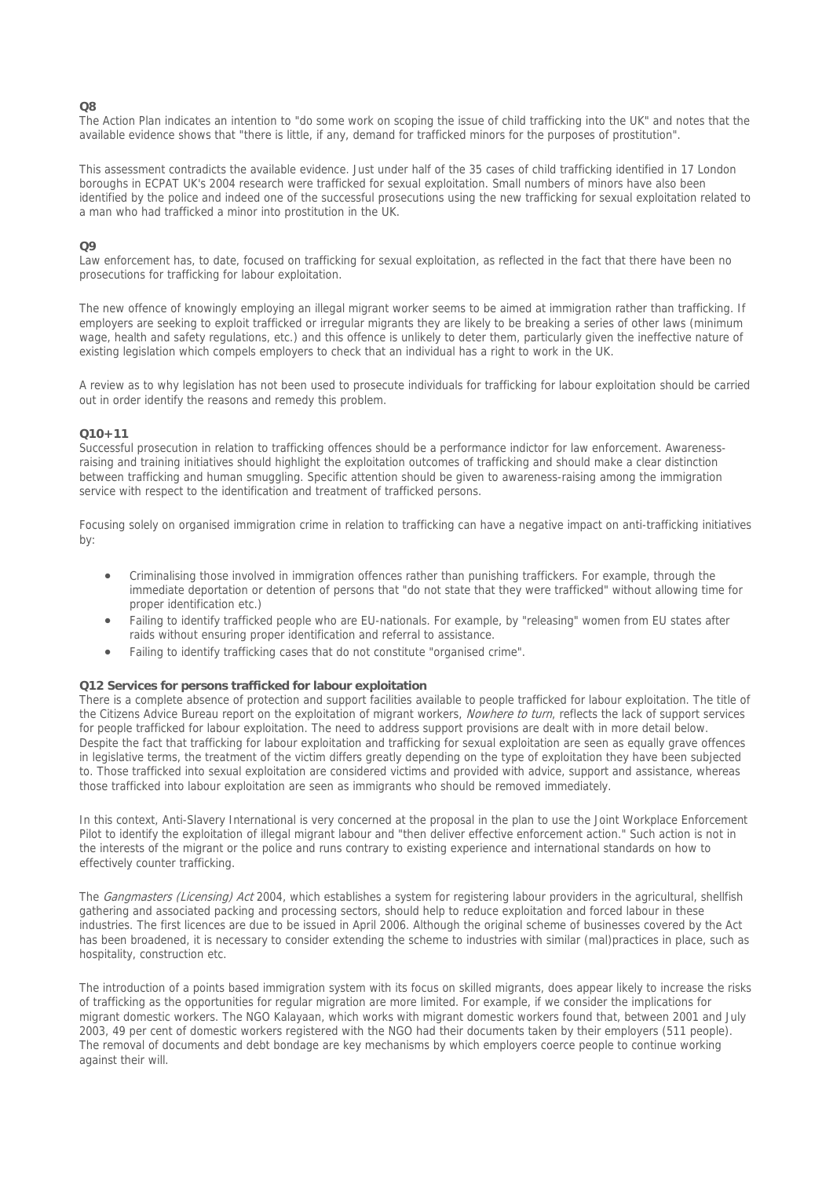# **Q8**

The Action Plan indicates an intention to "do some work on scoping the issue of child trafficking into the UK" and notes that the available evidence shows that "there is little, if any, demand for trafficked minors for the purposes of prostitution".

This assessment contradicts the available evidence. Just under half of the 35 cases of child trafficking identified in 17 London boroughs in ECPAT UK's 2004 research were trafficked for sexual exploitation. Small numbers of minors have also been identified by the police and indeed one of the successful prosecutions using the new trafficking for sexual exploitation related to a man who had trafficked a minor into prostitution in the UK.

## $\Omega$

Law enforcement has, to date, focused on trafficking for sexual exploitation, as reflected in the fact that there have been no prosecutions for trafficking for labour exploitation.

The new offence of knowingly employing an illegal migrant worker seems to be aimed at immigration rather than trafficking. If employers are seeking to exploit trafficked or irregular migrants they are likely to be breaking a series of other laws (minimum wage, health and safety regulations, etc.) and this offence is unlikely to deter them, particularly given the ineffective nature of existing legislation which compels employers to check that an individual has a right to work in the UK.

A review as to why legislation has not been used to prosecute individuals for trafficking for labour exploitation should be carried out in order identify the reasons and remedy this problem.

### **Q10+11**

Successful prosecution in relation to trafficking offences should be a performance indictor for law enforcement. Awarenessraising and training initiatives should highlight the exploitation outcomes of trafficking and should make a clear distinction between trafficking and human smuggling. Specific attention should be given to awareness-raising among the immigration service with respect to the identification and treatment of trafficked persons.

Focusing solely on organised immigration crime in relation to trafficking can have a negative impact on anti-trafficking initiatives by:

- Criminalising those involved in immigration offences rather than punishing traffickers. For example, through the immediate deportation or detention of persons that "do not state that they were trafficked" without allowing time for proper identification etc.)
- Failing to identify trafficked people who are EU-nationals. For example, by "releasing" women from EU states after raids without ensuring proper identification and referral to assistance.
- Failing to identify trafficking cases that do not constitute "organised crime".

### **Q12 Services for persons trafficked for labour exploitation**

There is a complete absence of protection and support facilities available to people trafficked for labour exploitation. The title of the Citizens Advice Bureau report on the exploitation of migrant workers, Nowhere to turn, reflects the lack of support services for people trafficked for labour exploitation. The need to address support provisions are dealt with in more detail below. Despite the fact that trafficking for labour exploitation and trafficking for sexual exploitation are seen as equally grave offences in legislative terms, the treatment of the victim differs greatly depending on the type of exploitation they have been subjected to. Those trafficked into sexual exploitation are considered victims and provided with advice, support and assistance, whereas those trafficked into labour exploitation are seen as immigrants who should be removed immediately.

In this context, Anti-Slavery International is very concerned at the proposal in the plan to use the Joint Workplace Enforcement Pilot to identify the exploitation of illegal migrant labour and "then deliver effective enforcement action." Such action is not in the interests of the migrant or the police and runs contrary to existing experience and international standards on how to effectively counter trafficking.

The Gangmasters (Licensing) Act 2004, which establishes a system for registering labour providers in the agricultural, shellfish gathering and associated packing and processing sectors, should help to reduce exploitation and forced labour in these industries. The first licences are due to be issued in April 2006. Although the original scheme of businesses covered by the Act has been broadened, it is necessary to consider extending the scheme to industries with similar (mal)practices in place, such as hospitality, construction etc.

The introduction of a points based immigration system with its focus on skilled migrants, does appear likely to increase the risks of trafficking as the opportunities for regular migration are more limited. For example, if we consider the implications for migrant domestic workers. The NGO Kalayaan, which works with migrant domestic workers found that, between 2001 and July 2003, 49 per cent of domestic workers registered with the NGO had their documents taken by their employers (511 people). The removal of documents and debt bondage are key mechanisms by which employers coerce people to continue working against their will.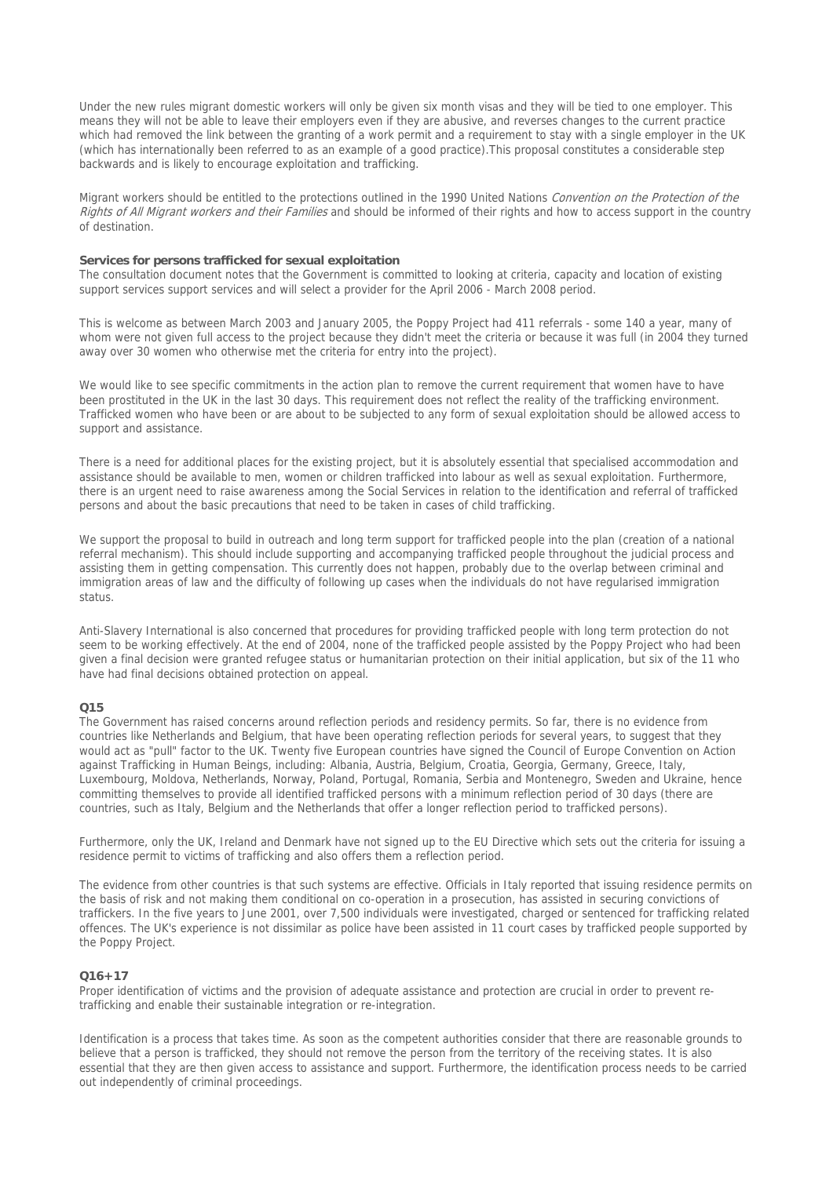Under the new rules migrant domestic workers will only be given six month visas and they will be tied to one employer. This means they will not be able to leave their employers even if they are abusive, and reverses changes to the current practice which had removed the link between the granting of a work permit and a requirement to stay with a single employer in the UK (which has internationally been referred to as an example of a good practice).This proposal constitutes a considerable step backwards and is likely to encourage exploitation and trafficking.

Migrant workers should be entitled to the protections outlined in the 1990 United Nations Convention on the Protection of the Rights of All Migrant workers and their Families and should be informed of their rights and how to access support in the country of destination.

#### **Services for persons trafficked for sexual exploitation**

The consultation document notes that the Government is committed to looking at criteria, capacity and location of existing support services support services and will select a provider for the April 2006 - March 2008 period.

This is welcome as between March 2003 and January 2005, the Poppy Project had 411 referrals - some 140 a year, many of whom were not given full access to the project because they didn't meet the criteria or because it was full (in 2004 they turned away over 30 women who otherwise met the criteria for entry into the project).

We would like to see specific commitments in the action plan to remove the current requirement that women have to have been prostituted in the UK in the last 30 days. This requirement does not reflect the reality of the trafficking environment. Trafficked women who have been or are about to be subjected to any form of sexual exploitation should be allowed access to support and assistance.

There is a need for additional places for the existing project, but it is absolutely essential that specialised accommodation and assistance should be available to men, women or children trafficked into labour as well as sexual exploitation. Furthermore, there is an urgent need to raise awareness among the Social Services in relation to the identification and referral of trafficked persons and about the basic precautions that need to be taken in cases of child trafficking.

We support the proposal to build in outreach and long term support for trafficked people into the plan (creation of a national referral mechanism). This should include supporting and accompanying trafficked people throughout the judicial process and assisting them in getting compensation. This currently does not happen, probably due to the overlap between criminal and immigration areas of law and the difficulty of following up cases when the individuals do not have regularised immigration status.

Anti-Slavery International is also concerned that procedures for providing trafficked people with long term protection do not seem to be working effectively. At the end of 2004, none of the trafficked people assisted by the Poppy Project who had been given a final decision were granted refugee status or humanitarian protection on their initial application, but six of the 11 who have had final decisions obtained protection on appeal.

# **Q15**

The Government has raised concerns around reflection periods and residency permits. So far, there is no evidence from countries like Netherlands and Belgium, that have been operating reflection periods for several years, to suggest that they would act as "pull" factor to the UK. Twenty five European countries have signed the Council of Europe Convention on Action against Trafficking in Human Beings, including: Albania, Austria, Belgium, Croatia, Georgia, Germany, Greece, Italy, Luxembourg, Moldova, Netherlands, Norway, Poland, Portugal, Romania, Serbia and Montenegro, Sweden and Ukraine, hence committing themselves to provide all identified trafficked persons with a minimum reflection period of 30 days (there are countries, such as Italy, Belgium and the Netherlands that offer a longer reflection period to trafficked persons).

Furthermore, only the UK, Ireland and Denmark have not signed up to the EU Directive which sets out the criteria for issuing a residence permit to victims of trafficking and also offers them a reflection period.

The evidence from other countries is that such systems are effective. Officials in Italy reported that issuing residence permits on the basis of risk and not making them conditional on co-operation in a prosecution, has assisted in securing convictions of traffickers. In the five years to June 2001, over 7,500 individuals were investigated, charged or sentenced for trafficking related offences. The UK's experience is not dissimilar as police have been assisted in 11 court cases by trafficked people supported by the Poppy Project.

# **Q16+17**

Proper identification of victims and the provision of adequate assistance and protection are crucial in order to prevent retrafficking and enable their sustainable integration or re-integration.

Identification is a process that takes time. As soon as the competent authorities consider that there are reasonable grounds to believe that a person is trafficked, they should not remove the person from the territory of the receiving states. It is also essential that they are then given access to assistance and support. Furthermore, the identification process needs to be carried out independently of criminal proceedings.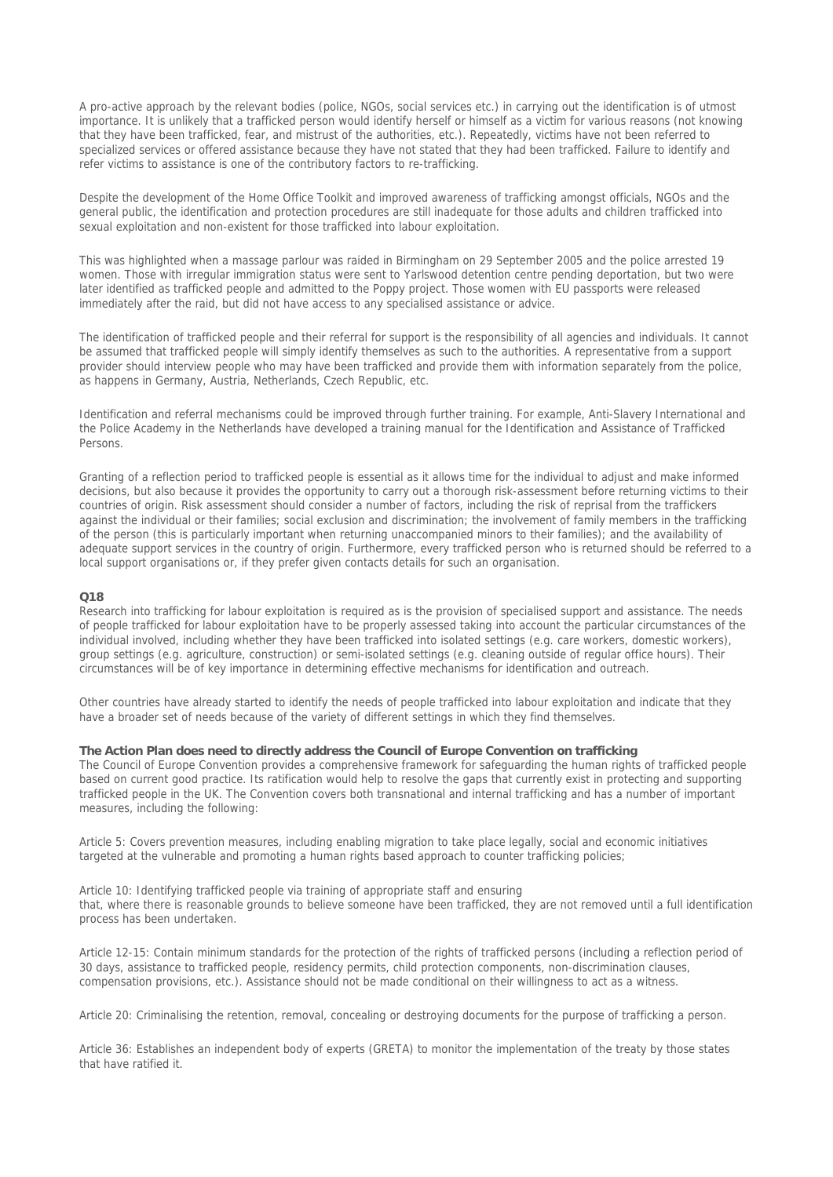A pro-active approach by the relevant bodies (police, NGOs, social services etc.) in carrying out the identification is of utmost importance. It is unlikely that a trafficked person would identify herself or himself as a victim for various reasons (not knowing that they have been trafficked, fear, and mistrust of the authorities, etc.). Repeatedly, victims have not been referred to specialized services or offered assistance because they have not stated that they had been trafficked. Failure to identify and refer victims to assistance is one of the contributory factors to re-trafficking.

Despite the development of the Home Office Toolkit and improved awareness of trafficking amongst officials, NGOs and the general public, the identification and protection procedures are still inadequate for those adults and children trafficked into sexual exploitation and non-existent for those trafficked into labour exploitation.

This was highlighted when a massage parlour was raided in Birmingham on 29 September 2005 and the police arrested 19 women. Those with irregular immigration status were sent to Yarlswood detention centre pending deportation, but two were later identified as trafficked people and admitted to the Poppy project. Those women with EU passports were released immediately after the raid, but did not have access to any specialised assistance or advice.

The identification of trafficked people and their referral for support is the responsibility of all agencies and individuals. It cannot be assumed that trafficked people will simply identify themselves as such to the authorities. A representative from a support provider should interview people who may have been trafficked and provide them with information separately from the police, as happens in Germany, Austria, Netherlands, Czech Republic, etc.

Identification and referral mechanisms could be improved through further training. For example, Anti-Slavery International and the Police Academy in the Netherlands have developed a training manual for the Identification and Assistance of Trafficked Persons.

Granting of a reflection period to trafficked people is essential as it allows time for the individual to adjust and make informed decisions, but also because it provides the opportunity to carry out a thorough risk-assessment before returning victims to their countries of origin. Risk assessment should consider a number of factors, including the risk of reprisal from the traffickers against the individual or their families; social exclusion and discrimination; the involvement of family members in the trafficking of the person (this is particularly important when returning unaccompanied minors to their families); and the availability of adequate support services in the country of origin. Furthermore, every trafficked person who is returned should be referred to a local support organisations or, if they prefer given contacts details for such an organisation.

#### **Q18**

Research into trafficking for labour exploitation is required as is the provision of specialised support and assistance. The needs of people trafficked for labour exploitation have to be properly assessed taking into account the particular circumstances of the individual involved, including whether they have been trafficked into isolated settings (e.g. care workers, domestic workers), group settings (e.g. agriculture, construction) or semi-isolated settings (e.g. cleaning outside of regular office hours). Their circumstances will be of key importance in determining effective mechanisms for identification and outreach.

Other countries have already started to identify the needs of people trafficked into labour exploitation and indicate that they have a broader set of needs because of the variety of different settings in which they find themselves.

# **The Action Plan does need to directly address the Council of Europe Convention on trafficking**

The Council of Europe Convention provides a comprehensive framework for safeguarding the human rights of trafficked people based on current good practice. Its ratification would help to resolve the gaps that currently exist in protecting and supporting trafficked people in the UK. The Convention covers both transnational and internal trafficking and has a number of important measures, including the following:

Article 5: Covers prevention measures, including enabling migration to take place legally, social and economic initiatives targeted at the vulnerable and promoting a human rights based approach to counter trafficking policies;

Article 10: Identifying trafficked people via training of appropriate staff and ensuring that, where there is reasonable grounds to believe someone have been trafficked, they are not removed until a full identification process has been undertaken.

Article 12-15: Contain minimum standards for the protection of the rights of trafficked persons (including a reflection period of 30 days, assistance to trafficked people, residency permits, child protection components, non-discrimination clauses, compensation provisions, etc.). Assistance should not be made conditional on their willingness to act as a witness.

Article 20: Criminalising the retention, removal, concealing or destroying documents for the purpose of trafficking a person.

Article 36: Establishes an independent body of experts (GRETA) to monitor the implementation of the treaty by those states that have ratified it.